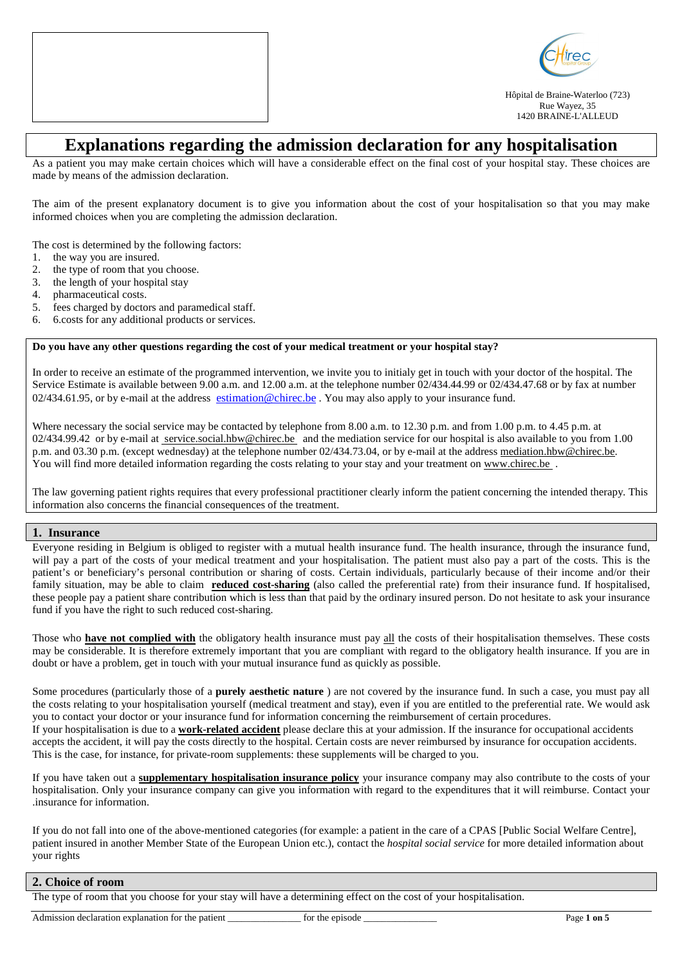



Hôpital de Braine-Waterloo (723) Rue Wayez, 35 1420 BRAINE-L'ALLEUD

# **Explanations regarding the admission declaration for any hospitalisation**

As a patient you may make certain choices which will have a considerable effect on the final cost of your hospital stay. These choices are made by means of the admission declaration.

The aim of the present explanatory document is to give you information about the cost of your hospitalisation so that you may make informed choices when you are completing the admission declaration.

The cost is determined by the following factors:

- 1. the way you are insured.
- 2. the type of room that you choose.
- 3. the length of your hospital stay
- 4. pharmaceutical costs.
- 5. fees charged by doctors and paramedical staff.
- 6. 6.costs for any additional products or services.

#### **Do you have any other questions regarding the cost of your medical treatment or your hospital stay?**

In order to receive an estimate of the programmed intervention, we invite you to initialy get in touch with your doctor of the hospital. The Service Estimate is available between 9.00 a.m. and 12.00 a.m. at the telephone number 02/434.44.99 or 02/434.47.68 or by fax at number  $02/434.61.95$ , or by e-mail at the address estimation @chirec.be . You may also apply to your insurance fund.

Where necessary the social service may be contacted by telephone from 8.00 a.m. to 12.30 p.m. and from 1.00 p.m. to 4.45 p.m. at 02/434.99.42 or by e-mail at service.social.hbw@chirec.be and the mediation service for our hospital is also available to you from 1.00 p.m. and 03.30 p.m. (except wednesday) at the telephone number 02/434.73.04, or by e-mail at the address mediation.hbw@chirec.be. You will find more detailed information regarding the costs relating to your stay and your treatment on www.chirec.be .

The law governing patient rights requires that every professional practitioner clearly inform the patient concerning the intended therapy. This information also concerns the financial consequences of the treatment.

#### **1. Insurance**

Everyone residing in Belgium is obliged to register with a mutual health insurance fund. The health insurance, through the insurance fund, will pay a part of the costs of your medical treatment and your hospitalisation. The patient must also pay a part of the costs. This is the patient's or beneficiary's personal contribution or sharing of costs. Certain individuals, particularly because of their income and/or their family situation, may be able to claim **reduced cost-sharing** (also called the preferential rate) from their insurance fund. If hospitalised, these people pay a patient share contribution which is less than that paid by the ordinary insured person. Do not hesitate to ask your insurance fund if you have the right to such reduced cost-sharing.

Those who **have not complied with** the obligatory health insurance must pay all the costs of their hospitalisation themselves. These costs may be considerable. It is therefore extremely important that you are compliant with regard to the obligatory health insurance. If you are in doubt or have a problem, get in touch with your mutual insurance fund as quickly as possible.

Some procedures (particularly those of a **purely aesthetic nature** ) are not covered by the insurance fund. In such a case, you must pay all the costs relating to your hospitalisation yourself (medical treatment and stay), even if you are entitled to the preferential rate. We would ask you to contact your doctor or your insurance fund for information concerning the reimbursement of certain procedures. If your hospitalisation is due to a **work-related accident** please declare this at your admission. If the insurance for occupational accidents accepts the accident, it will pay the costs directly to the hospital. Certain costs are never reimbursed by insurance for occupation accidents. This is the case, for instance, for private-room supplements: these supplements will be charged to you.

If you have taken out a **supplementary hospitalisation insurance policy** your insurance company may also contribute to the costs of your hospitalisation. Only your insurance company can give you information with regard to the expenditures that it will reimburse. Contact your .insurance for information.

If you do not fall into one of the above-mentioned categories (for example: a patient in the care of a CPAS [Public Social Welfare Centre], patient insured in another Member State of the European Union etc.), contact the *hospital social service* for more detailed information about your rights

#### **2. Choice of room**

The type of room that you choose for your stay will have a determining effect on the cost of your hospitalisation.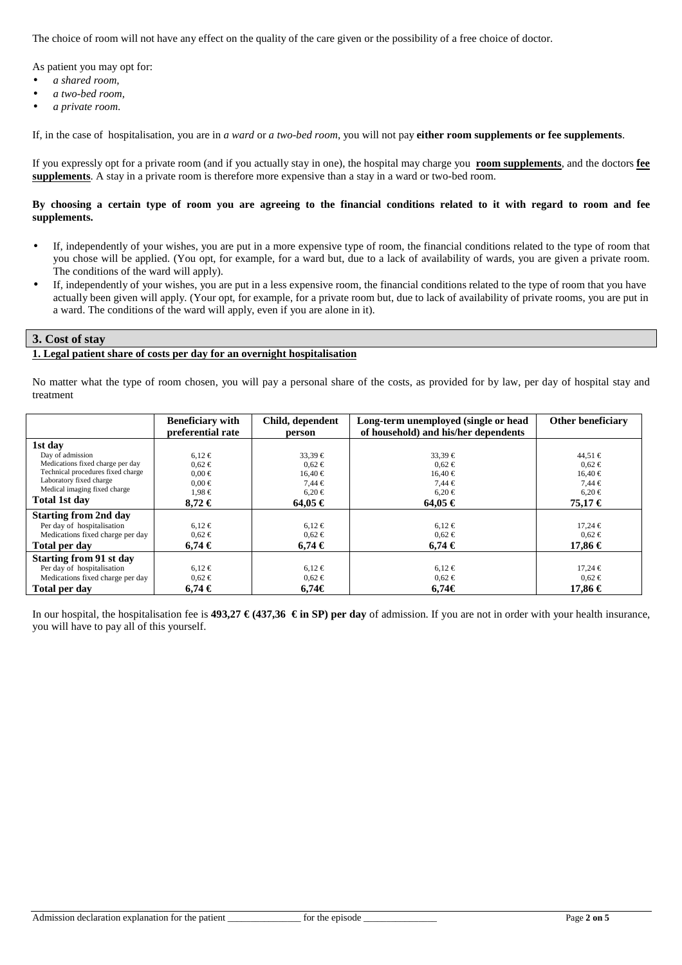The choice of room will not have any effect on the quality of the care given or the possibility of a free choice of doctor.

As patient you may opt for:

- *a shared room,*
- *a two-bed room,*
- *a private room*.

If, in the case of hospitalisation, you are in *a ward* or *a two-bed room*, you will not pay **either room supplements or fee supplements**.

If you expressly opt for a private room (and if you actually stay in one), the hospital may charge you **room supplements**, and the doctors **fee supplements**. A stay in a private room is therefore more expensive than a stay in a ward or two-bed room.

#### **By choosing a certain type of room you are agreeing to the financial conditions related to it with regard to room and fee supplements.**

- If, independently of your wishes, you are put in a more expensive type of room, the financial conditions related to the type of room that you chose will be applied. (You opt, for example, for a ward but, due to a lack of availability of wards, you are given a private room. The conditions of the ward will apply).
- If, independently of your wishes, you are put in a less expensive room, the financial conditions related to the type of room that you have actually been given will apply. (Your opt, for example, for a private room but, due to lack of availability of private rooms, you are put in a ward. The conditions of the ward will apply, even if you are alone in it).

## **3. Cost of stay**

## **1. Legal patient share of costs per day for an overnight hospitalisation**

No matter what the type of room chosen, you will pay a personal share of the costs, as provided for by law, per day of hospital stay and treatment

|                                   | <b>Beneficiary with</b> | Child, dependent | Long-term unemployed (single or head | Other beneficiary |
|-----------------------------------|-------------------------|------------------|--------------------------------------|-------------------|
|                                   | preferential rate       | person           | of household) and his/her dependents |                   |
| 1st day                           |                         |                  |                                      |                   |
| Day of admission                  | $6.12 \in$              | $33,39 \in$      | $33,39 \in$                          | $44,51 \in$       |
| Medications fixed charge per day  | $0.62 \in$              | $0.62 \in$       | $0.62 \in$                           | $0.62 \in$        |
| Technical procedures fixed charge | $0.00 \in$              | $16,40 \in$      | $16,40 \in$                          | $16,40 \in$       |
| Laboratory fixed charge           | $0.00 \in$              | $7.44 \in$       | $7.44 \in$                           | $7.44 \in$        |
| Medical imaging fixed charge      | $1,98 \in$              | $6,20 \in$       | $6,20 \in$                           | $6,20 \in$        |
| Total 1st day                     | $8.72 \in$              | $64.05 \in$      | $64.05 \in$                          | 75,17€            |
| <b>Starting from 2nd day</b>      |                         |                  |                                      |                   |
| Per day of hospitalisation        | $6.12 \in$              | $6,12 \in$       | $6,12 \in$                           | $17,24 \in$       |
| Medications fixed charge per day  | $0.62 \in$              | $0.62 \in$       | $0.62 \in$                           | $0.62 \in$        |
| Total per day                     | $6.74 \in$              | $6.74 \in$       | $6.74 \in$                           | 17,86 €           |
| <b>Starting from 91 st day</b>    |                         |                  |                                      |                   |
| Per day of hospitalisation        | $6.12 \in$              | $6,12 \in$       | $6,12 \in$                           | $17,24 \in$       |
| Medications fixed charge per day  | $0.62 \in$              | $0.62 \in$       | $0.62 \in$                           | $0.62 \in$        |
| Total per day                     | 6.74€                   | 6.74€            | 6.74€                                | 17,86 €           |

In our hospital, the hospitalisation fee is **493,27**  $\in$  **(437,36**  $\in$  **in SP) per day** of admission. If you are not in order with your health insurance, you will have to pay all of this yourself.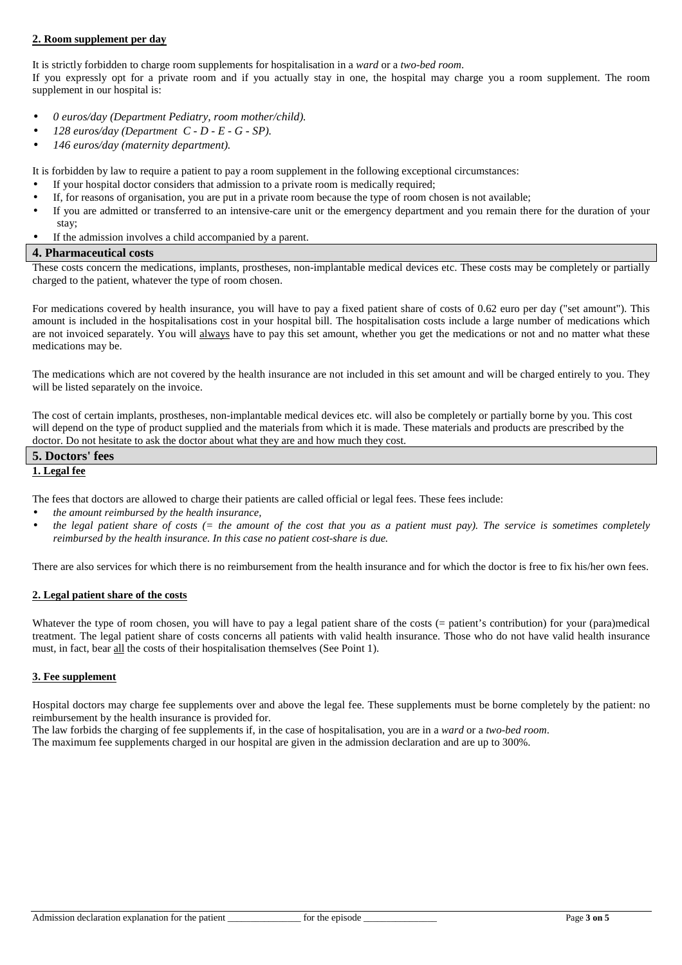## **2. Room supplement per day**

It is strictly forbidden to charge room supplements for hospitalisation in a *ward* or a *two-bed room*.

If you expressly opt for a private room and if you actually stay in one, the hospital may charge you a room supplement. The room supplement in our hospital is:

- *0 euros/day (Department Pediatry, room mother/child).*
- *128 euros/day (Department C D E G SP).*
- *146 euros/day (maternity department).*

It is forbidden by law to require a patient to pay a room supplement in the following exceptional circumstances:

- If your hospital doctor considers that admission to a private room is medically required;
- If, for reasons of organisation, you are put in a private room because the type of room chosen is not available;
- If you are admitted or transferred to an intensive-care unit or the emergency department and you remain there for the duration of your stay;
- If the admission involves a child accompanied by a parent.

#### **4. Pharmaceutical costs**

These costs concern the medications, implants, prostheses, non-implantable medical devices etc. These costs may be completely or partially charged to the patient, whatever the type of room chosen.

For medications covered by health insurance, you will have to pay a fixed patient share of costs of 0.62 euro per day ("set amount"). This amount is included in the hospitalisations cost in your hospital bill. The hospitalisation costs include a large number of medications which are not invoiced separately. You will always have to pay this set amount, whether you get the medications or not and no matter what these medications may be.

The medications which are not covered by the health insurance are not included in this set amount and will be charged entirely to you. They will be listed separately on the invoice.

The cost of certain implants, prostheses, non-implantable medical devices etc. will also be completely or partially borne by you. This cost will depend on the type of product supplied and the materials from which it is made. These materials and products are prescribed by the doctor. Do not hesitate to ask the doctor about what they are and how much they cost.

#### **5. Doctors' fees 1. Legal fee**

The fees that doctors are allowed to charge their patients are called official or legal fees. These fees include:

- *the amount reimbursed by the health insurance,*
- *the legal patient share of costs (= the amount of the cost that you as a patient must pay). The service is sometimes completely reimbursed by the health insurance. In this case no patient cost-share is due.*

There are also services for which there is no reimbursement from the health insurance and for which the doctor is free to fix his/her own fees.

## **2. Legal patient share of the costs**

Whatever the type of room chosen, you will have to pay a legal patient share of the costs (= patient's contribution) for your (para)medical treatment. The legal patient share of costs concerns all patients with valid health insurance. Those who do not have valid health insurance must, in fact, bear all the costs of their hospitalisation themselves (See Point 1).

## **3. Fee supplement**

Hospital doctors may charge fee supplements over and above the legal fee. These supplements must be borne completely by the patient: no reimbursement by the health insurance is provided for.

The law forbids the charging of fee supplements if, in the case of hospitalisation, you are in a *ward* or a *two-bed room*.

The maximum fee supplements charged in our hospital are given in the admission declaration and are up to 300%.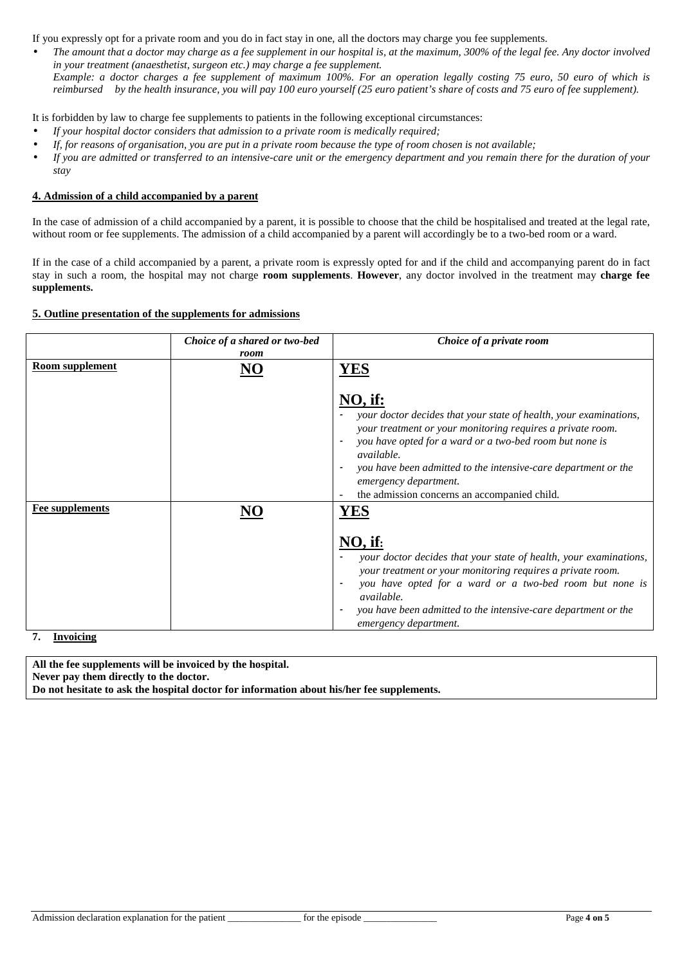If you expressly opt for a private room and you do in fact stay in one, all the doctors may charge you fee supplements.

• *The amount that a doctor may charge as a fee supplement in our hospital is, at the maximum, 300% of the legal fee. Any doctor involved in your treatment (anaesthetist, surgeon etc.) may charge a fee supplement. Example: a doctor charges a fee supplement of maximum 100%. For an operation legally costing 75 euro, 50 euro of which is reimbursed by the health insurance, you will pay 100 euro yourself (25 euro patient's share of costs and 75 euro of fee supplement).* 

It is forbidden by law to charge fee supplements to patients in the following exceptional circumstances:

- *If your hospital doctor considers that admission to a private room is medically required;*
- *If, for reasons of organisation, you are put in a private room because the type of room chosen is not available;*
- *If you are admitted or transferred to an intensive-care unit or the emergency department and you remain there for the duration of your stay*

## **4. Admission of a child accompanied by a parent**

In the case of admission of a child accompanied by a parent, it is possible to choose that the child be hospitalised and treated at the legal rate, without room or fee supplements. The admission of a child accompanied by a parent will accordingly be to a two-bed room or a ward.

If in the case of a child accompanied by a parent, a private room is expressly opted for and if the child and accompanying parent do in fact stay in such a room, the hospital may not charge **room supplements**. **However**, any doctor involved in the treatment may **charge fee supplements.** 

## **5. Outline presentation of the supplements for admissions**

|                                     | Choice of a shared or two-bed<br>room | Choice of a private room                                                                                                                                                                                                                                                                                                                                                                                        |
|-------------------------------------|---------------------------------------|-----------------------------------------------------------------------------------------------------------------------------------------------------------------------------------------------------------------------------------------------------------------------------------------------------------------------------------------------------------------------------------------------------------------|
| <b>Room supplement</b>              | NO                                    | <b>YES</b><br>NO, if:<br>your doctor decides that your state of health, your examinations,<br>your treatment or your monitoring requires a private room.<br>you have opted for a ward or a two-bed room but none is<br>$\overline{\phantom{a}}$<br><i>available.</i><br>you have been admitted to the intensive-care department or the<br>emergency department.<br>the admission concerns an accompanied child. |
| <b>Fee supplements</b><br>Invoicing |                                       | $NO,$ if:<br>your doctor decides that your state of health, your examinations,<br>your treatment or your monitoring requires a private room.<br>you have opted for a ward or a two-bed room but none is<br>$\overline{\phantom{a}}$<br>available.<br>you have been admitted to the intensive-care department or the<br>emergency department.                                                                    |

**7. Invoicing** 

**All the fee supplements will be invoiced by the hospital. Never pay them directly to the doctor. Do not hesitate to ask the hospital doctor for information about his/her fee supplements.**